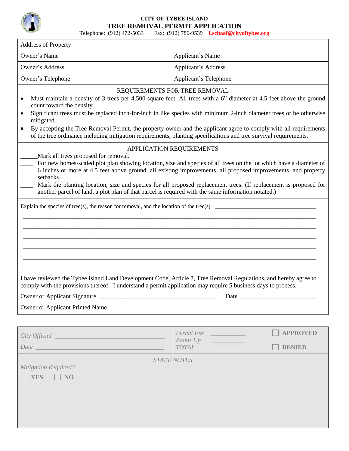

# **CITY OF TYBEE ISLAND TREE REMOVAL PERMIT APPLICATION**

Telephone: (912) 472-5033 · Fax: (912) 786-9539 **Lschaaf@cityoftybee.org**

| <b>Address of Property</b>                                                                                                                                                                                                                                                                                                                                                                                                                                                                                                                                                  |                                                                                                                     |  |  |  |
|-----------------------------------------------------------------------------------------------------------------------------------------------------------------------------------------------------------------------------------------------------------------------------------------------------------------------------------------------------------------------------------------------------------------------------------------------------------------------------------------------------------------------------------------------------------------------------|---------------------------------------------------------------------------------------------------------------------|--|--|--|
| Owner's Name                                                                                                                                                                                                                                                                                                                                                                                                                                                                                                                                                                | Applicant's Name                                                                                                    |  |  |  |
| Owner's Address                                                                                                                                                                                                                                                                                                                                                                                                                                                                                                                                                             | <b>Applicant's Address</b>                                                                                          |  |  |  |
| Owner's Telephone                                                                                                                                                                                                                                                                                                                                                                                                                                                                                                                                                           | Applicant's Telephone                                                                                               |  |  |  |
| REQUIREMENTS FOR TREE REMOVAL<br>Must maintain a density of 3 trees per 4,500 square feet. All trees with a 6" diameter at 4.5 feet above the ground<br>count toward the density.<br>Significant trees must be replaced inch-for-inch in like species with minimum 2-inch diameter trees or be otherwise<br>mitigated.<br>By accepting the Tree Removal Permit, the property owner and the applicant agree to comply with all requirements<br>$\bullet$<br>of the tree ordinance including mitigation requirements, planting specifications and tree survival requirements. |                                                                                                                     |  |  |  |
| APPLICATION REQUIREMENTS<br>Mark all trees proposed for removal.<br>For new homes-scaled plot plan showing location, size and species of all trees on the lot which have a diameter of<br>6 inches or more at 4.5 feet above ground, all existing improvements, all proposed improvements, and property<br>setbacks.<br>Mark the planting location, size and species for all proposed replacement trees. (If replacement is proposed for<br>another parcel of land, a plot plan of that parcel is required with the same information notated.)                              |                                                                                                                     |  |  |  |
| Explain the species of tree(s), the reason for removal, and the location of the tree(s)<br>I have reviewed the Tybee Island Land Development Code, Article 7, Tree Removal Regulations, and hereby agree to<br>comply with the provisions thereof. I understand a permit application may require 5 business days to process.                                                                                                                                                                                                                                                |                                                                                                                     |  |  |  |
|                                                                                                                                                                                                                                                                                                                                                                                                                                                                                                                                                                             |                                                                                                                     |  |  |  |
|                                                                                                                                                                                                                                                                                                                                                                                                                                                                                                                                                                             | Permit Fee<br><b>APPROVED</b><br>Palms Up<br><u> 1999 - Jan Barnett, fransk politiker</u><br>TOTAL<br><b>DENIED</b> |  |  |  |
| <b>Mitigation Required?</b><br><b>YES</b><br>NO                                                                                                                                                                                                                                                                                                                                                                                                                                                                                                                             | <b>STAFF NOTES</b>                                                                                                  |  |  |  |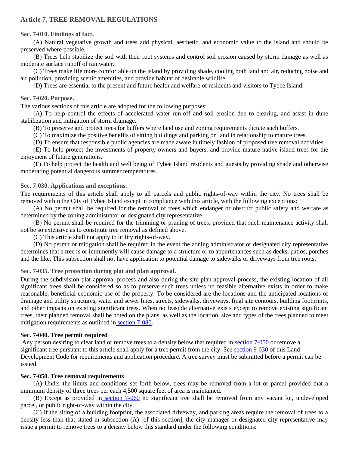# **Article 7, TREE REMOVAL REGULATIONS**

## **Sec. 7-010. Findings of fact.**

(A) Natural vegetative growth and trees add physical, aesthetic, and economic value to the island and should be preserved where possible.

(B) Trees help stabilize the soil with their root systems and control soil erosion caused by storm damage as well as moderate surface runoff of rainwater.

(C) Trees make life more comfortable on the island by providing shade, cooling both land and air, reducing noise and air pollution, providing scenic amenities, and provide habitat of desirable wildlife.

(D) Trees are essential to the present and future health and welfare of residents and visitors to Tybee Island.

## **Sec. 7-020. Purpose.**

The various sections of this article are adopted for the following purposes:

(A) To help control the effects of accelerated water run-off and soil erosion due to clearing, and assist in dune stabilization and mitigation of storm drainage.

(B) To preserve and protect trees for buffers where land use and zoning requirements dictate such buffers.

(C) To maximize the positive benefits of sitting buildings and parking on land in relationship to mature trees.

(D) To ensure that responsible public agencies are made aware in timely fashion of proposed tree removal activities.

(E) To help protect the investments of property owners and buyers, and provide mature native island trees for the enjoyment of future generations.

(F) To help protect the health and well being of Tybee Island residents and guests by providing shade and otherwise moderating potential dangerous summer temperatures.

## **Sec. 7-030. Applications and exceptions.**

The requirements of this article shall apply to all parcels and public rights-of-way within the city. No trees shall be removed within the City of Tybee Island except in compliance with this article, with the following exceptions:

(A) No permit shall be required for the removal of trees which endanger or obstruct public safety and welfare as determined by the zoning administrator or designated city representative.

(B) No permit shall be required for the trimming or pruning of trees, provided that such maintenance activity shall not be so extensive as to constitute tree removal as defined above.

(C) This article shall not apply to utility rights-of-way.

(D) No permit or mitigation shall be required in the event the zoning administrator or designated city representative determines that a tree is or imminently will cause damage to a structure or to appurtenances such as decks, patios, porches and the like. This subsection shall not have application to potential damage to sidewalks or driveways from tree roots.

# **Sec. 7-035. Tree protection during plat and plan approval.**

During the subdivision plat approval process and also during the site plan approval process, the existing location of all significant trees shall be considered so as to preserve such trees unless no feasible alternative exists in order to make reasonable, beneficial economic use of the property. To be considered are the locations and the anticipated locations of drainage and utility structures, water and sewer lines, streets, sidewalks, driveways, final site contours, building footprints, and other impacts on existing significant trees. When no feasible alternative exists except to remove existing significant trees, their planned removal shall be noted on the plans, as well as the location, size and types of the trees planned to meet mitigation requirements as outlined in [section 7-080.](../level3/PTIICOOR_APXALADECO_ART7TRRERE.docx#PTIICOOR_APXALADECO_ART7TRRERE_S7-080STTRPLRE)

#### **Sec. 7-040. Tree permit required**

Any person desiring to clear land or remove trees to a density below that required in [section 7-050](https://library.municode.com/ga/tybee_island/codes/code_of_ordinances?nodeId=PTIICOOR_APXALADECO_ART7TRRERE_S7-050TRRERE) or remove a significant tree pursuant to this article shall apply for a tree permit from the city. See [section 9-030](https://library.municode.com/ga/tybee_island/codes/code_of_ordinances?nodeId=PTIICOOR_APXALADECO_ART9BURE_S9-030BUPE) of this Land Development Code for requirements and application procedure. A tree survey must be submitted before a permit can be issued.

# **Sec. 7-050. Tree removal requirements**.

(A) Under the limits and conditions set forth below, trees may be removed from a lot or parcel provided that a minimum density of three trees per each 4,500 square feet of area is maintained.

(B) Except as provided in [section 7-060](../level3/PTIICOOR_APXALADECO_ART7TRRERE.docx#PTIICOOR_APXALADECO_ART7TRRERE_S7-060RESITR) no significant tree shall be removed from any vacant lot, undeveloped parcel, or public right-of-way within the city.

(C) If the siting of a building footprint, the associated driveway, and parking areas require the removal of trees to a density less than that stated in subsection (A) [of this section], the city manager or designated city representative may issue a permit to remove trees to a density below this standard under the following conditions: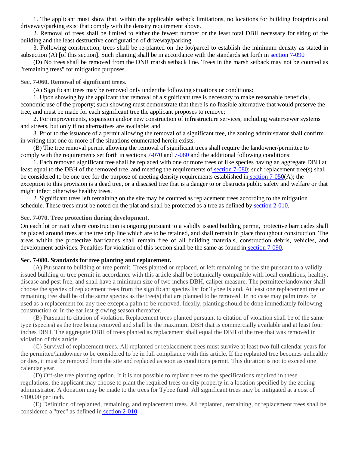1. The applicant must show that, within the applicable setback limitations, no locations for building footprints and driveway/parking exist that comply with the density requirement above.

2. Removal of trees shall be limited to either the fewest number or the least total DBH necessary for siting of the building and the least destructive configuration of driveway/parking.

3. Following construction, trees shall be re-planted on the lot/parcel to establish the minimum density as stated in subsection (A) [of this section]. Such planting shall be in accordance with the standards set forth in [section 7-090](../level3/PTIICOOR_APXALADECO_ART7TRRERE.docx#PTIICOOR_APXALADECO_ART7TRRERE_S7-090PEUNTRRE)

(D) No trees shall be removed from the DNR marsh setback line. Trees in the marsh setback may not be counted as "remaining trees" for mitigation purposes.

#### **Sec. 7-060. Removal of significant trees.**

(A) Significant trees may be removed only under the following situations or conditions:

1. Upon showing by the applicant that removal of a significant tree is necessary to make reasonable beneficial, economic use of the property; such showing must demonstrate that there is no feasible alternative that would preserve the tree, and must be made for each significant tree the applicant proposes to remove;

2. For improvements, expansion and/or new construction of infrastructure services, including water/sewer systems and streets, but only if no alternatives are available; and

3. Prior to the issuance of a permit allowing the removal of a significant tree, the zoning administrator shall confirm in writing that one or more of the situations enumerated herein exists.

(B) The tree removal permit allowing the removal of significant trees shall require the landowner/permittee to comply with the requirements set forth in sections [7-070](https://library.municode.com/ga/tybee_island/codes/code_of_ordinances?nodeId=PTIICOOR_APXALADECO_ART7TRRERE_S7-070TRPRDUDE) and [7-080](https://library.municode.com/ga/tybee_island/codes/code_of_ordinances?nodeId=PTIICOOR_APXALADECO_ART7TRRERE_S7-080STTRPLRE) and the additional following conditions:

1. Each removed significant tree shall be replaced with one or more trees of like species having an aggregate DBH at least equal to the DBH of the removed tree, and meeting the requirements of [section 7-080;](https://library.municode.com/ga/tybee_island/codes/code_of_ordinances?nodeId=PTIICOOR_APXALADECO_ART7TRRERE_S7-080STTRPLRE) such replacement tree(s) shall be considered to be one tree for the purpose of meeting density requirements established in [section 7-050\(](https://library.municode.com/ga/tybee_island/codes/code_of_ordinances?nodeId=PTIICOOR_APXALADECO_ART7TRRERE_S7-050TRRERE)A); the exception to this provision is a dead tree, or a diseased tree that is a danger to or obstructs public safety and welfare or that might infect otherwise healthy trees.

2. Significant trees left remaining on the site may be counted as replacement trees according to the mitigation schedule. These trees must be noted on the plat and shall be protected as a tree as defined by [section 2-010.](https://library.municode.com/ga/tybee_island/codes/code_of_ordinances?nodeId=PTIICOOR_APXALADECO_ART2DE_S2-010TEDE)

#### **Sec. 7-070. Tree protection during development.**

On each lot or tract where construction is ongoing pursuant to a validly issued building permit, protective barricades shall be placed around trees at the tree drip line which are to be retained, and shall remain in place throughout construction. The areas within the protective barricades shall remain free of all building materials, construction debris, vehicles, and development activities. Penalties for violation of this section shall be the same as found in [section 7-090.](../level3/PTIICOOR_APXALADECO_ART7TRRERE.docx#PTIICOOR_APXALADECO_ART7TRRERE_S7-090PEUNTRRE)

#### **Sec. 7-080. Standards for tree planting and replacement.**

(A) Pursuant to building or tree permit. Trees planted or replaced, or left remaining on the site pursuant to a validly issued building or tree permit in accordance with this article shall be botanically compatible with local conditions, healthy, disease and pest free, and shall have a minimum size of two inches DBH, caliper measure. The permittee/landowner shall choose the species of replacement trees from the significant species list for Tybee Island. At least one replacement tree or remaining tree shall be of the same species as the tree(s) that are planned to be removed. In no case may palm trees be used as a replacement for any tree except a palm to be removed. Ideally, planting should be done immediately following construction or in the earliest growing season thereafter.

(B) Pursuant to citation of violation. Replacement trees planted pursuant to citation of violation shall be of the same type (species) as the tree being removed and shall be the maximum DBH that is commercially available and at least four inches DBH. The aggregate DBH of trees planted as replacement shall equal the DBH of the tree that was removed in violation of this article.

(C) Survival of replacement trees. All replanted or replacement trees must survive at least two full calendar years for the permittee/landowner to be considered to be in full compliance with this article. If the replanted tree becomes unhealthy or dies, it must be removed from the site and replaced as soon as conditions permit. This duration is not to exceed one calendar year.

(D) Off-site tree planting option. If it is not possible to replant trees to the specifications required in these regulations, the applicant may choose to plant the required trees on city property in a location specified by the zoning administrator. A donation may be made to the trees for Tybee fund. All significant trees may be mitigated at a cost of \$100.00 per inch.

(E) Definition of replanted, remaining, and replacement trees. All replanted, remaining, or replacement trees shall be considered a "tree" as defined in [section 2-010.](https://library.municode.com/ga/tybee_island/codes/code_of_ordinances?nodeId=PTIICOOR_APXALADECO_ART2DE_S2-010TEDE)